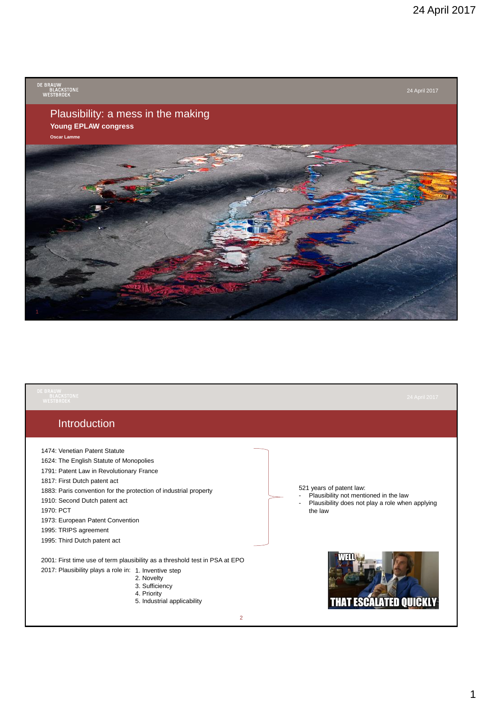

| <b>DE BRAUW</b><br><b>BLACKSTONE</b><br><b>WESTBROEK</b>                                                                                                                                                                                                                                                                                                            | 24 April 2017                                                                                                                                     |
|---------------------------------------------------------------------------------------------------------------------------------------------------------------------------------------------------------------------------------------------------------------------------------------------------------------------------------------------------------------------|---------------------------------------------------------------------------------------------------------------------------------------------------|
| Introduction                                                                                                                                                                                                                                                                                                                                                        |                                                                                                                                                   |
| 1474: Venetian Patent Statute<br>1624: The English Statute of Monopolies<br>1791: Patent Law in Revolutionary France<br>1817: First Dutch patent act<br>1883: Paris convention for the protection of industrial property<br>1910: Second Dutch patent act<br>1970: PCT<br>1973: European Patent Convention<br>1995: TRIPS agreement<br>1995: Third Dutch patent act | 521 years of patent law:<br>Plausibility not mentioned in the law<br>Plausibility does not play a role when applying<br>$\blacksquare$<br>the law |
| 2001: First time use of term plausibility as a threshold test in PSA at EPO<br>2017: Plausibility plays a role in: 1. Inventive step<br>2. Novelty<br>3. Sufficiency<br>4. Priority<br>5. Industrial applicability                                                                                                                                                  |                                                                                                                                                   |

1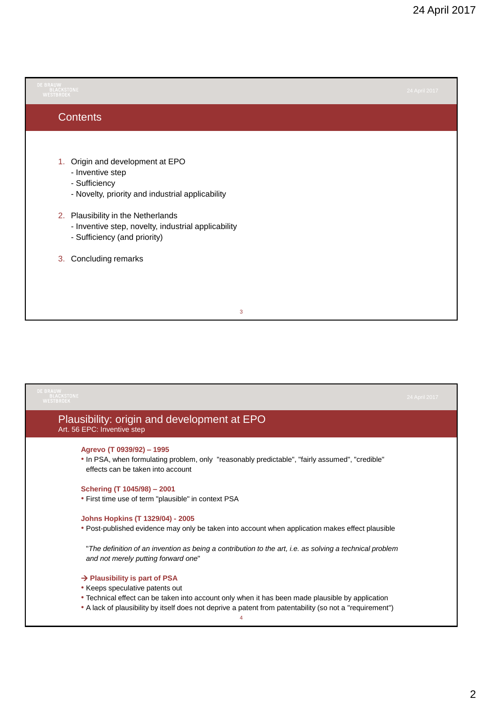| <b>DE BRAUW</b><br><b>BLACKSTONE</b><br><b>WESTBROEK</b>                                                                                                                                                                                                                           | 24 April 2017 |
|------------------------------------------------------------------------------------------------------------------------------------------------------------------------------------------------------------------------------------------------------------------------------------|---------------|
| Contents                                                                                                                                                                                                                                                                           |               |
| 1. Origin and development at EPO<br>- Inventive step<br>- Sufficiency<br>- Novelty, priority and industrial applicability<br>2. Plausibility in the Netherlands<br>- Inventive step, novelty, industrial applicability<br>- Sufficiency (and priority)<br>Concluding remarks<br>3. |               |
| 3                                                                                                                                                                                                                                                                                  |               |

| <b>DE BRAUW</b><br><b>BLACKSTONE</b><br>WESTBROEK                                                                                                                 | 24 April 2017 |
|-------------------------------------------------------------------------------------------------------------------------------------------------------------------|---------------|
| Plausibility: origin and development at EPO<br>Art. 56 EPC: Inventive step                                                                                        |               |
| Agrevo (T 0939/92) - 1995<br>. In PSA, when formulating problem, only "reasonably predictable", "fairly assumed", "credible"<br>effects can be taken into account |               |
| Schering (T 1045/98) - 2001                                                                                                                                       |               |
| • First time use of term "plausible" in context PSA                                                                                                               |               |
| <b>Johns Hopkins (T 1329/04) - 2005</b>                                                                                                                           |               |
| • Post-published evidence may only be taken into account when application makes effect plausible                                                                  |               |
| "The definition of an invention as being a contribution to the art, i.e. as solving a technical problem<br>and not merely putting forward one"                    |               |
| → Plausibility is part of PSA                                                                                                                                     |               |
| • Keeps speculative patents out                                                                                                                                   |               |
| • Technical effect can be taken into account only when it has been made plausible by application                                                                  |               |
| • A lack of plausibility by itself does not deprive a patent from patentability (so not a "requirement")                                                          |               |
| Δ                                                                                                                                                                 |               |
|                                                                                                                                                                   |               |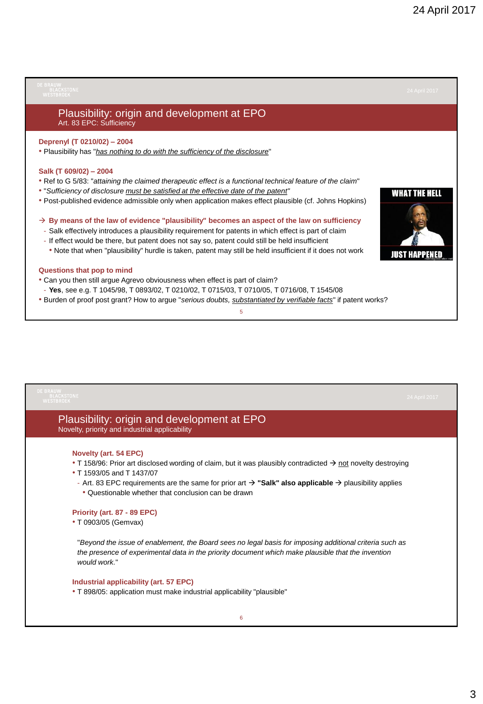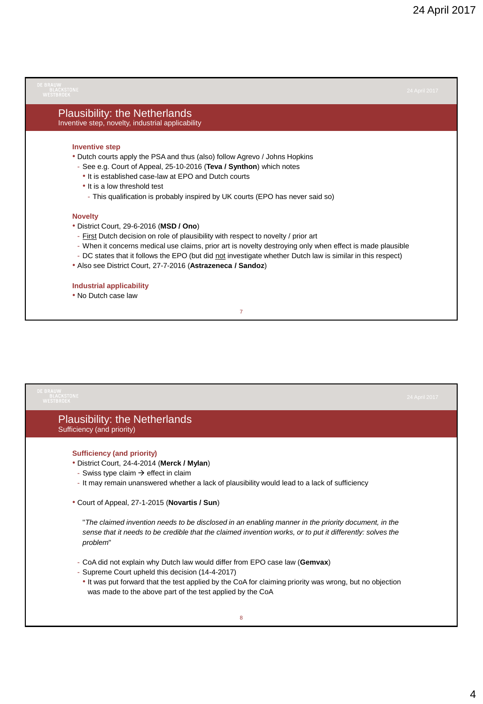### Plausibility: the Netherlands Inventive step, novelty, industrial applicability

### **Inventive step**

- Dutch courts apply the PSA and thus (also) follow Agrevo / Johns Hopkins
	- See e.g. Court of Appeal, 25-10-2016 (**Teva / Synthon**) which notes
	- It is established case-law at EPO and Dutch courts
	- It is a low threshold test
	- This qualification is probably inspired by UK courts (EPO has never said so)

#### **Novelty**

- District Court, 29-6-2016 (**MSD / Ono**)
	- First Dutch decision on role of plausibility with respect to novelty / prior art
	- When it concerns medical use claims, prior art is novelty destroying only when effect is made plausible
	- DC states that it follows the EPO (but did not investigate whether Dutch law is similar in this respect)

7

• Also see District Court, 27-7-2016 (**Astrazeneca / Sandoz**)

### **Industrial applicability**

• No Dutch case law

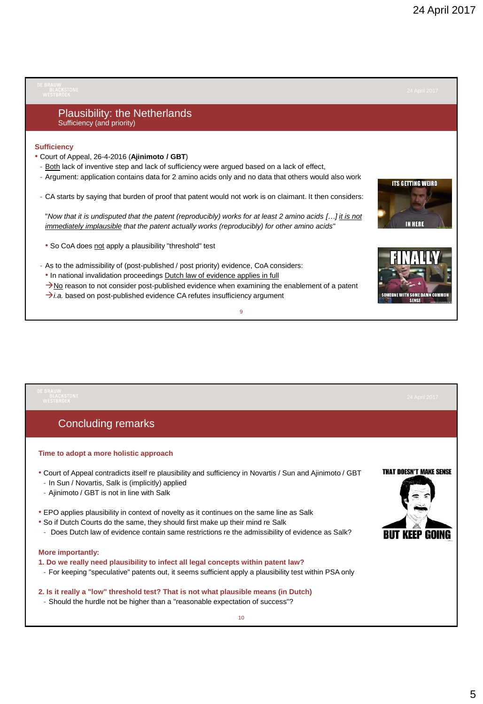# Plausibility: the Netherlands Sufficiency (and priority) **Sufficiency** • Court of Appeal, 26-4-2016 (**Ajinimoto / GBT**) - Both lack of inventive step and lack of sufficiency were argued based on a lack of effect, - Argument: application contains data for 2 amino acids only and no data that others would also work **ITS GETTING WEIRD** - CA starts by saying that burden of proof that patent would not work is on claimant. It then considers: "*Now that it is undisputed that the patent (reproducibly) works for at least 2 amino acids […] it is not*  **IN HERE** *immediately implausible that the patent actually works (reproducibly) for other amino acids*" • So CoA does not apply a plausibility "threshold" test - As to the admissibility of (post-published / post priority) evidence, CoA considers: • In national invalidation proceedings Dutch law of evidence applies in full  $\rightarrow$ No reason to not consider post-published evidence when examining the enablement of a patent  $\rightarrow$  *i.a.* based on post-published evidence CA refutes insufficiency argument SOMEONE WITH SOME DAMN COMMON 9

# Concluding remarks

### **Time to adopt a more holistic approach**

- Court of Appeal contradicts itself re plausibility and sufficiency in Novartis / Sun and Ajinimoto / GBT - In Sun / Novartis, Salk is (implicitly) applied
- Ajinimoto / GBT is not in line with Salk
- EPO applies plausibility in context of novelty as it continues on the same line as Salk
- So if Dutch Courts do the same, they should first make up their mind re Salk
- Does Dutch law of evidence contain same restrictions re the admissibility of evidence as Salk?

### **More importantly:**

- **1. Do we really need plausibility to infect all legal concepts within patent law?**
- For keeping "speculative" patents out, it seems sufficient apply a plausibility test within PSA only

## **2. Is it really a "low" threshold test? That is not what plausible means (in Dutch)**

- Should the hurdle not be higher than a "reasonable expectation of success"?

**THAT DOESN'T MAKE SENSE** 

*RIIT KEEP GOING*